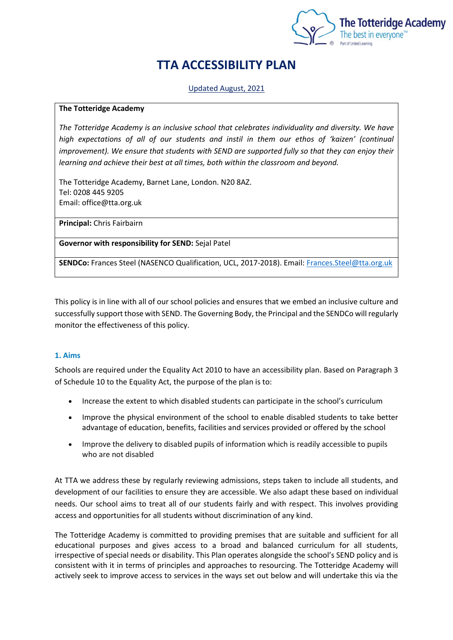

# **TTA ACCESSIBILITY PLAN**

# Updated August, 2021

## **The Totteridge Academy**

*The Totteridge Academy is an inclusive school that celebrates individuality and diversity. We have high expectations of all of our students and instil in them our ethos of 'kaizen' (continual improvement). We ensure that students with SEND are supported fully so that they can enjoy their learning and achieve their best at all times, both within the classroom and beyond.* 

The Totteridge Academy, Barnet Lane, London. N20 8AZ. Tel: 0208 445 9205 Email: office@tta.org.uk

**Principal:** Chris Fairbairn

**Governor with responsibility for SEND:** Sejal Patel

**SENDCo:** Frances Steel (NASENCO Qualification, UCL, 2017-2018). Email[: Frances.Steel@tta.org.uk](mailto:Frances.Steel@tta.org.uk)

This policy is in line with all of our school policies and ensures that we embed an inclusive culture and successfully support those with SEND. The Governing Body, the Principal and the SENDCo will regularly monitor the effectiveness of this policy.

# **1. Aims**

Schools are required under the Equality Act 2010 to have an accessibility plan. Based on Paragraph 3 of Schedule 10 to the Equality Act, the purpose of the plan is to:

- Increase the extent to which disabled students can participate in the school's curriculum
- Improve the physical environment of the school to enable disabled students to take better advantage of education, benefits, facilities and services provided or offered by the school
- Improve the delivery to disabled pupils of information which is readily accessible to pupils who are not disabled

At TTA we address these by regularly reviewing admissions, steps taken to include all students, and development of our facilities to ensure they are accessible. We also adapt these based on individual needs. Our school aims to treat all of our students fairly and with respect. This involves providing access and opportunities for all students without discrimination of any kind.

The Totteridge Academy is committed to providing premises that are suitable and sufficient for all educational purposes and gives access to a broad and balanced curriculum for all students, irrespective of special needs or disability. This Plan operates alongside the school's SEND policy and is consistent with it in terms of principles and approaches to resourcing. The Totteridge Academy will actively seek to improve access to services in the ways set out below and will undertake this via the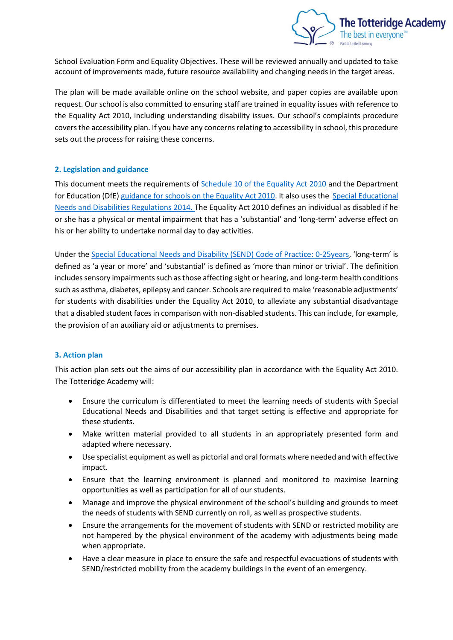

School Evaluation Form and Equality Objectives. These will be reviewed annually and updated to take account of improvements made, future resource availability and changing needs in the target areas.

The plan will be made available online on the school website, and paper copies are available upon request. Our school is also committed to ensuring staff are trained in equality issues with reference to the Equality Act 2010, including understanding disability issues. Our school's complaints procedure covers the accessibility plan. If you have any concerns relating to accessibility in school, this procedure sets out the process for raising these concerns.

## **2. Legislation and guidance**

This document meets the requirements of Schedule [10 of the Equality Act 2010](http://www.legislation.gov.uk/ukpga/2010/15/schedule/10) and the Department for Education (DfE) [guidance for schools on the Equality Act 2010.](https://www.gov.uk/government/publications/equality-act-2010-advice-for-schools) It also uses the [Special Educational](https://www.gov.uk/government/publications/send-code-of-practice-0-to-25)  [Needs and Disabilities Regulations](https://www.gov.uk/government/publications/send-code-of-practice-0-to-25) 2014. The Equality Act 2010 defines an individual as disabled if he or she has a physical or mental impairment that has a 'substantial' and 'long-term' adverse effect on his or her ability to undertake normal day to day activities.

Under the [Special Educational Needs and Disability \(SEND\) Code of Practice:](https://www.gov.uk/government/publications/send-code-of-practice-0-to-25) 0-25years, 'long-term' is defined as 'a year or more' and 'substantial' is defined as 'more than minor or trivial'. The definition includes sensory impairments such as those affecting sight or hearing, and long-term health conditions such as asthma, diabetes, epilepsy and cancer. Schools are required to make 'reasonable adjustments' for students with disabilities under the Equality Act 2010, to alleviate any substantial disadvantage that a disabled student faces in comparison with non-disabled students. This can include, for example, the provision of an auxiliary aid or adjustments to premises.

# **3. Action plan**

This action plan sets out the aims of our accessibility plan in accordance with the Equality Act 2010. The Totteridge Academy will:

- Ensure the curriculum is differentiated to meet the learning needs of students with Special Educational Needs and Disabilities and that target setting is effective and appropriate for these students.
- Make written material provided to all students in an appropriately presented form and adapted where necessary.
- Use specialist equipment as well as pictorial and oral formats where needed and with effective impact.
- Ensure that the learning environment is planned and monitored to maximise learning opportunities as well as participation for all of our students.
- Manage and improve the physical environment of the school's building and grounds to meet the needs of students with SEND currently on roll, as well as prospective students.
- Ensure the arrangements for the movement of students with SEND or restricted mobility are not hampered by the physical environment of the academy with adjustments being made when appropriate.
- Have a clear measure in place to ensure the safe and respectful evacuations of students with SEND/restricted mobility from the academy buildings in the event of an emergency.